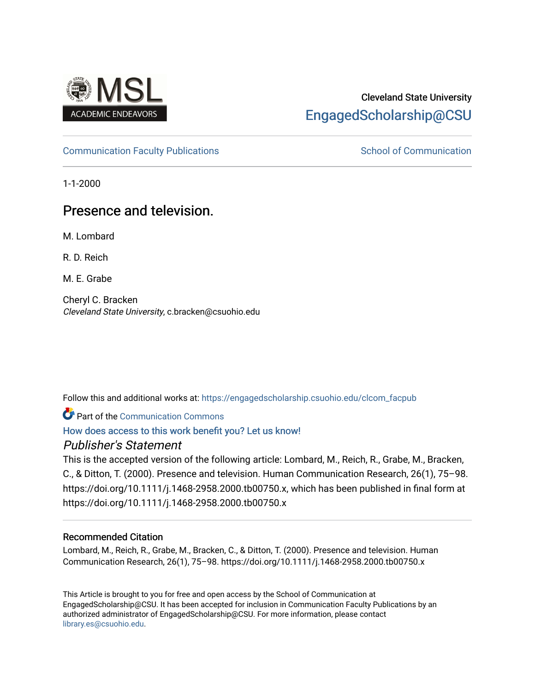

# Cleveland State University [EngagedScholarship@CSU](https://engagedscholarship.csuohio.edu/)

# [Communication Faculty Publications](https://engagedscholarship.csuohio.edu/clcom_facpub) [School of Communication](https://engagedscholarship.csuohio.edu/clcom) School of Communication

1-1-2000

# Presence and television.

M. Lombard

R. D. Reich

M. E. Grabe

Cheryl C. Bracken Cleveland State University, c.bracken@csuohio.edu

Follow this and additional works at: [https://engagedscholarship.csuohio.edu/clcom\\_facpub](https://engagedscholarship.csuohio.edu/clcom_facpub?utm_source=engagedscholarship.csuohio.edu%2Fclcom_facpub%2F48&utm_medium=PDF&utm_campaign=PDFCoverPages) 

Part of the [Communication Commons](http://network.bepress.com/hgg/discipline/325?utm_source=engagedscholarship.csuohio.edu%2Fclcom_facpub%2F48&utm_medium=PDF&utm_campaign=PDFCoverPages) 

[How does access to this work benefit you? Let us know!](http://library.csuohio.edu/engaged/)

# Publisher's Statement

This is the accepted version of the following article: Lombard, M., Reich, R., Grabe, M., Bracken, C., & Ditton, T. (2000). Presence and television. Human Communication Research, 26(1), 75–98. https://doi.org/10.1111/j.1468-2958.2000.tb00750.x, which has been published in final form at https://doi.org/10.1111/j.1468-2958.2000.tb00750.x

# Recommended Citation

Lombard, M., Reich, R., Grabe, M., Bracken, C., & Ditton, T. (2000). Presence and television. Human Communication Research, 26(1), 75–98. https://doi.org/10.1111/j.1468-2958.2000.tb00750.x

This Article is brought to you for free and open access by the School of Communication at EngagedScholarship@CSU. It has been accepted for inclusion in Communication Faculty Publications by an authorized administrator of EngagedScholarship@CSU. For more information, please contact [library.es@csuohio.edu.](mailto:library.es@csuohio.edu)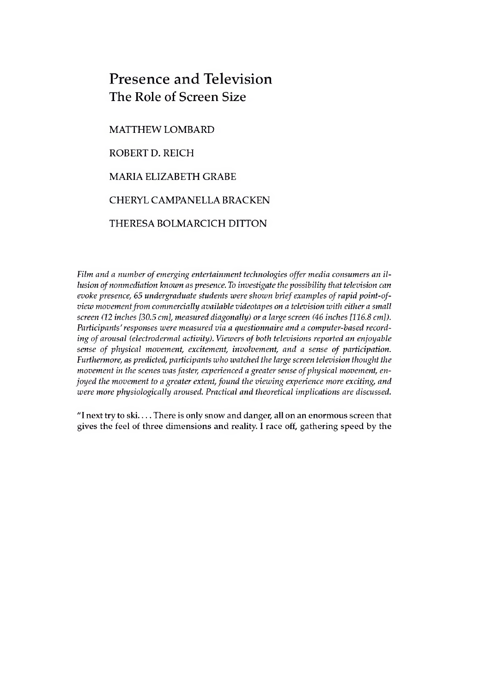# Presence and Television The Role of Screen Size

MATTHEW LOMBARD ROBERT D. REICH MARIA ELIZABETH GRABE CHERYL CAMPANELLA BRACKEN THERESA BOLMARCICH DITTON

*Film and a number ofemerging entertainment technologies offer media consumers an illusion ofnonmediation known as presence. To investigate the possibility that television can evoke presence, 65 undergraduate students were shown briefexamples ofrapid point-ofview movement from commercially available videotapes on a television with either a small screen (12 inches [30.5 cm], measured diagonally) ora largescreen (46 inches [116.8 cm]). Participants'responses were measured via a questionnaire and a computer-based recording ofarousal (electrodermal activity). Viewers of both televisions reported an enjoyable sense of physical movement, excitement, involvement, and a sense of participation. Furthermore, as predicted, participants who watched the large screen television thought the movement in the scenes wasfaster, experienced a greatersense ofphysical movement, enjoyed the movement to a greater extent, found the viewing experience more exciting, and were more physiologically aroused. Practical and theoretical implications are discussed.*

"I next try to ski.... There is only snow and danger, all on an enormous screen that gives the feel of three dimensions and reality. I race off, gathering speed by the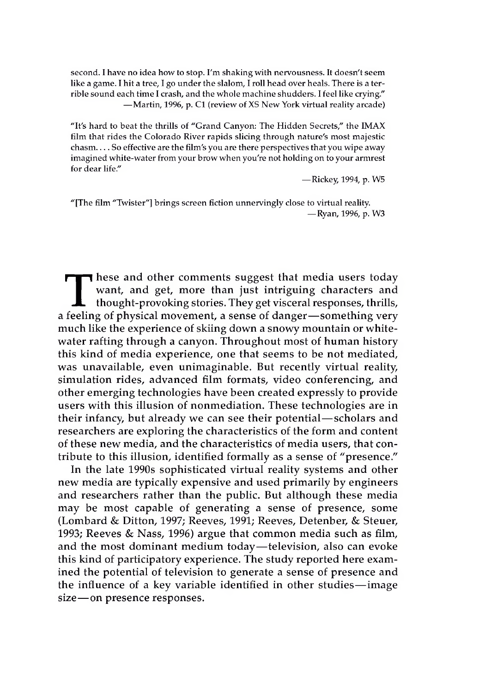second. I have no idea how to stop. I'm shaking with nervousness. It doesn't seem like a game. I hit a tree, I go under the slalom, I roll head over heals. There is a terrible sound each time I crash, and the whole machine shudders. I feel like crying." —Martin, 1996, p. C1 (review of XS New York virtual reality arcade)

"It's hard to beat the thrills of "Grand Canyon: The Hidden Secrets," the IMAX film that rides the Colorado River rapids slicing through nature's most majestic chasm.... So effective are the film's you are there perspectives that you wipe away imagined white-water from your browwhen you're not holding on to your armrest for dear life."

—Rickey, 1994, p. W5

"[The film "Twister"] brings screen fiction unnervingly close to virtual reality. —Ryan, 1996, p. W3

These and other comments suggest that media users today want, and get, more than just intriguing characters and thought-provoking stories. They get visceral responses, thrills, feeling of physical movement, a sense of dang want, and get, more than just intriguing characters and thought-provoking stories. They get visceral responses, thrills, a feeling of physical movement, a sense of danger—something very much like the experience of skiing down a snowy mountain or whitewater rafting through a canyon. Throughout most of human history this kind of media experience, one that seems to be not mediated, was unavailable, even unimaginable. But recently virtual reality, simulation rides, advanced film formats, video conferencing, and other emerging technologies have been created expressly to provide users with this illusion of nonmediation. These technologies are in their infancy, but already we can see their potential—scholars and researchers are exploring the characteristics of the form and content of these new media, and the characteristics of media users, that contribute to this illusion, identified formally as a sense of "presence."

In the late 1990s sophisticated virtual reality systems and other new media are typically expensive and used primarily by engineers and researchers rather than the public. But although these media may be most capable of generating a sense of presence, some (Lombard & Ditton, 1997; Reeves, 1991; Reeves, Detenber, & Steuer, 1993; Reeves & Nass, 1996) argue that common media such as film, and the most dominant medium today—television, also can evoke this kind of participatory experience. The study reported here examined the potential of television to generate a sense of presence and the influence of a key variable identified in other studies—image size—on presence responses.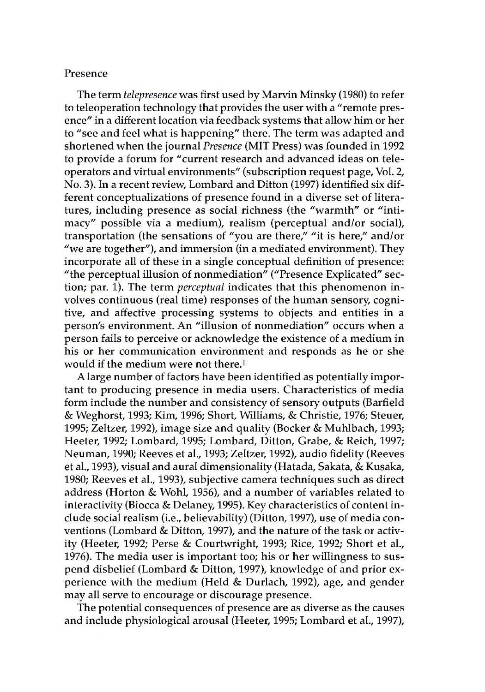### Presence

The term *telepresence* was first used by Marvin Minsky (1980) to refer to teleoperation technology that provides the user with a "remote presence" in a different location via feedback systems that allow him or her to "see and feel what is happening" there. The term was adapted and shortened when the journal *Presence* (MIT Press) was founded in 1992 to provide a forum for "current research and advanced ideas on teleoperators and virtual environments" (subscription request page, Vol. 2, No. 3). In a recent review, Lombard and Ditton (1997) identified six different conceptualizations of presence found in a diverse set of literatures, including presence as social richness (the "warmth" or "intimacy" possible via a medium), realism (perceptual and/or social), transportation (the sensations of "you are there," "it is here," and/or "we are together"), and immersion (in a mediated environment). They incorporate all of these in a single conceptual definition of presence: "the perceptual illusion of nonmediation" ("Presence Explicated" section; par. 1). The term *perceptual* indicates that this phenomenon involves continuous (real time) responses of the human sensory, cognitive, and affective processing systems to objects and entities in a person's environment. An "illusion of nonmediation" occurs when a person fails to perceive or acknowledge the existence of a medium in his or her communication environment and responds as he or she would if the medium were not there.1

A large number of factors have been identified as potentially important to producing presence in media users. Characteristics of media form include the number and consistency of sensory outputs (Barfield & Weghorst, 1993; Kim, 1996; Short, Williams, & Christie, 1976; Steuer, 1995; Zeltzer, 1992), image size and quality (Bocker & Muhlbach, 1993; Heeter, 1992; Lombard, 1995; Lombard, Ditton, Grabe, & Reich, 1997; Neuman, 1990; Reeves et al., 1993; Zeltzer, 1992), audio fidelity (Reeves et al., 1993), visual and aural dimensionality (Hatada, Sakata, & Kusaka, 1980; Reeves et al., 1993), subjective camera techniques such as direct address (Horton & Wohl, 1956), and a number of variables related to interactivity (Biocca & Delaney, 1995). Key characteristics of content include social realism (i.e., believability) (Ditton, 1997), use of media conventions (Lombard & Ditton, 1997), and the nature of the task or activity (Heeter, 1992; Perse & Courtwright, 1993; Rice, 1992; Short et al., 1976). The media user is important too; his or her willingness to suspend disbelief (Lombard & Ditton, 1997), knowledge of and prior experience with the medium (Held & Durlach, 1992), age, and gender may all serve to encourage or discourage presence.

The potential consequences of presence are as diverse as the causes and include physiological arousal (Heeter, 1995; Lombard et al., 1997),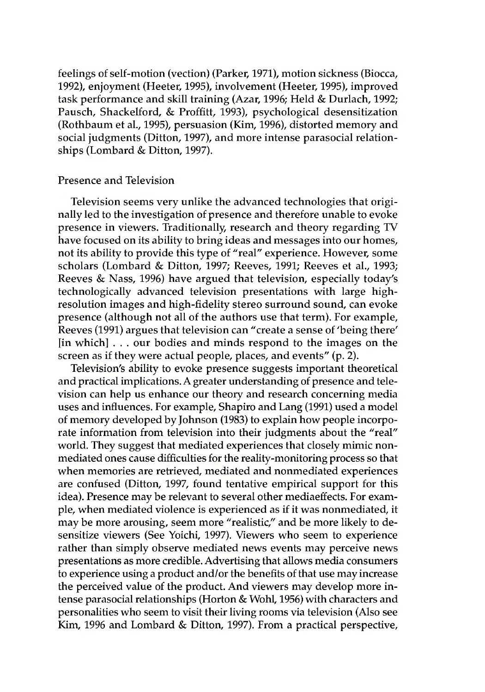feelings of self-motion (vection) (Parker, 1971), motion sickness (Biocca, 1992), enjoyment (Heeter, 1995), involvement (Heeter, 1995), improved task performance and skill training (Azar, 1996; Held & Durlach, 1992; Pausch, Shackelford, & Proffitt, 1993), psychological desensitization (Rothbaum et al., 1995), persuasion (Kim, 1996), distorted memory and social judgments (Ditton, 1997), and more intense parasocial relationships (Lombard & Ditton, 1997).

### Presence and Television

Television seems very unlike the advanced technologies that originally led to the investigation of presence and therefore unable to evoke presence in viewers. Traditionally, research and theory regarding TV have focused on its ability to bring ideas and messages into our homes, not its ability to provide this type of "real" experience. However, some scholars (Lombard & Ditton, 1997; Reeves, 1991; Reeves et al., 1993; Reeves & Nass, 1996) have argued that television, especially today's technologically advanced television presentations with large highresolution images and high-fidelity stereo surround sound, can evoke presence (although not all of the authors use that term). For example, Reeves (1991) argues that television can "create a sense of 'being there' [in which] . . . our bodies and minds respond to the images on the screen as if they were actual people, places, and events" (p. 2).

Television's ability to evoke presence suggests important theoretical and practical implications. A greater understanding of presence and television can help us enhance our theory and research concerning media uses and influences. For example, Shapiro and Lang (1991) used a model of memory developed by Johnson (1983) to explain how people incorporate information from television into their judgments about the "real" world. They suggest that mediated experiences that closely mimic nonmediated ones cause difficulties for the reality-monitoring process so that when memories are retrieved, mediated and nonmediated experiences are confused (Ditton, 1997, found tentative empirical support for this idea). Presence may be relevant to several other mediaeffects. For example, when mediated violence is experienced as if it was nonmediated, it may be more arousing, seem more "realistic," and be more likely to desensitize viewers (See Yoichi, 1997). Viewers who seem to experience rather than simply observe mediated news events may perceive news presentations as more credible. Advertising that allows media consumers to experience using a product and/or the benefits of that use may increase the perceived value of the product. And viewers may develop more intense parasocial relationships (Horton & Wohl, 1956) with characters and personalities who seem to visit their living rooms via television (Also see Kim, 1996 and Lombard & Ditton, 1997). From a practical perspective,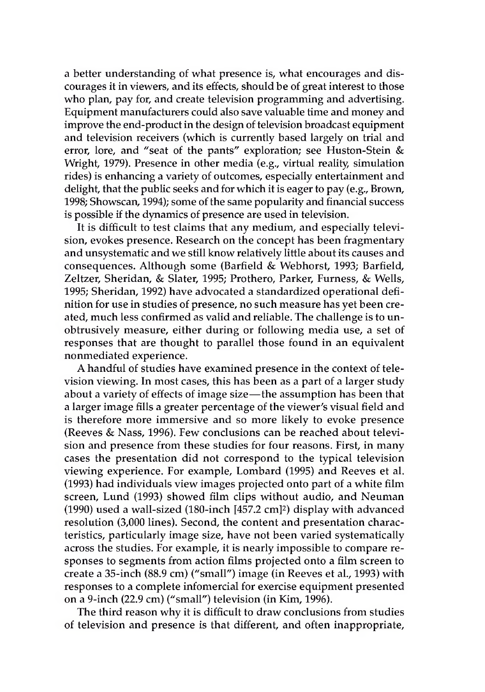a better understanding of what presence is, what encourages and discourages it in viewers, and its effects, should be of great interest to those who plan, pay for, and create television programming and advertising. Equipment manufacturers could also save valuable time and money and improve the end-product in the design of television broadcast equipment and television receivers (which is currently based largely on trial and error, lore, and "seat of the pants" exploration; see Huston-Stein & Wright, 1979). Presence in other media (e.g., virtual reality, simulation rides) is enhancing a variety of outcomes, especially entertainment and delight, that the public seeks and for which it is eager to pay (e.g., Brown, 1998; Showscan, 1994); some of the same popularity and financial success is possible if the dynamics of presence are used in television.

It is difficult to test claims that any medium, and especially television, evokes presence. Research on the concept has been fragmentary and unsystematic and we still know relatively little about its causes and consequences. Although some (Barfield & Webhorst, 1993; Barfield, Zeltzer, Sheridan, & Slater, 1995; Prothero, Parker, Furness, & Wells, 1995; Sheridan, 1992) have advocated a standardized operational definition for use in studies of presence, no such measure has yet been created, much less confirmed as valid and reliable. The challenge is to unobtrusively measure, either during or following media use, a set of responses that are thought to parallel those found in an equivalent nonmediated experience.

A handful of studies have examined presence in the context of television viewing. In most cases, this has been as a part of a larger study about a variety of effects of image size—the assumption has been that a larger image fills a greater percentage of the viewer's visual field and is therefore more immersive and so more likely to evoke presence (Reeves & Nass, 1996). Few conclusions can be reached about television and presence from these studies for four reasons. First, in many cases the presentation did not correspond to the typical television viewing experience. For example, Lombard (1995) and Reeves et al. (1993) had individuals view images projected onto part of a white film screen, Lund (1993) showed film clips without audio, and Neuman (1990) used a wall-sized (180-inch [457.2 cm]2) display with advanced resolution (3,000 lines). Second, the content and presentation characteristics, particularly image size, have not been varied systematically across the studies. For example, it is nearly impossible to compare responses to segments from action films projected onto a film screen to create a 35-inch (88.9 cm) ("small") image (in Reeves et al., 1993) with responses to a complete infomercial for exercise equipment presented on a 9-inch (22.9 cm) ("small") television (in Kim, 1996).

The third reason why it is difficult to draw conclusions from studies of television and presence is that different, and often inappropriate,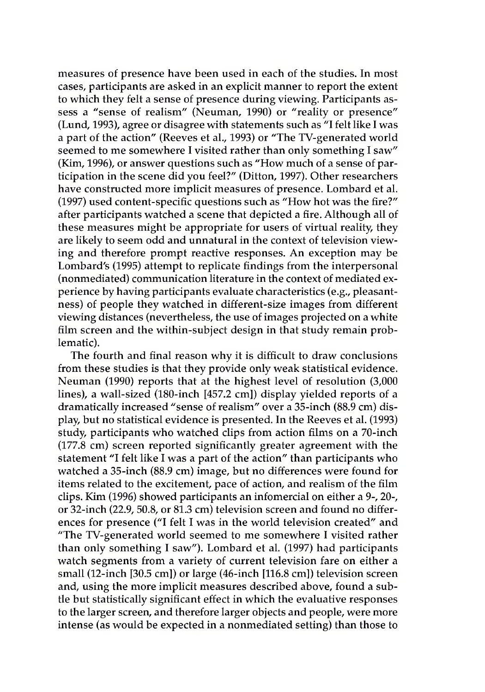measures of presence have been used in each of the studies. In most cases, participants are asked in an explicit manner to report the extent to which they felt a sense of presence during viewing. Participants assess a "sense of realism" (Neuman, 1990) or "reality or presence" (Lund, 1993), agree or disagree with statements such as "I felt like I was a part of the action" (Reeves et al., 1993) or "The TV-generated world seemed to me somewhere I visited rather than only something I saw" (Kim, 1996), or answer questions such as "How much of a sense of participation in the scene did you feel?" (Ditton, 1997). Other researchers have constructed more implicit measures of presence. Lombard et al. (1997) used content-specific questions such as "How hot was the fire?" after participants watched a scene that depicted a fire. Although all of these measures might be appropriate for users of virtual reality, they are likely to seem odd and unnatural in the context of television viewing and therefore prompt reactive responses. An exception may be Lombard's (1995) attempt to replicate findings from the interpersonal (nonmediated) communication literature in the context of mediated experience by having participants evaluate characteristics (e.g., pleasantness) of people they watched in different-size images from different viewing distances (nevertheless, the use of images projected on a white film screen and the within-subject design in that study remain problematic).

The fourth and final reason why it is difficult to draw conclusions from these studies is that they provide only weak statistical evidence. Neuman (1990) reports that at the highest level of resolution (3,000 lines), a wall-sized (180-inch [457.2 cm]) display yielded reports of a dramatically increased "sense of realism" over a 35-inch (88.9 cm) display, but no statistical evidence is presented. In the Reeves et al. (1993) study, participants who watched clips from action films on a 70-inch (177.8 cm) screen reported significantly greater agreement with the statement "I felt like I was a part of the action" than participants who watched a 35-inch (88.9 cm) image, but no differences were found for items related to the excitement, pace of action, and realism of the film clips. Kim (1996) showed participants an infomercial on either a 9-, 20-, or 32-inch (22.9, 50.8, or 81.3 cm) television screen and found no differences for presence ("I felt I was in the world television created" and "The TV-generated world seemed to me somewhere I visited rather than only something I saw"). Lombard et al. (1997) had participants watch segments from a variety of current television fare on either a small (12-inch [30.5 cm]) or large (46-inch [116.8 cm]) television screen and, using the more implicit measures described above, found a subtle but statistically significant effect in which the evaluative responses to the larger screen, and therefore larger objects and people, were more intense (as would be expected in a nonmediated setting) than those to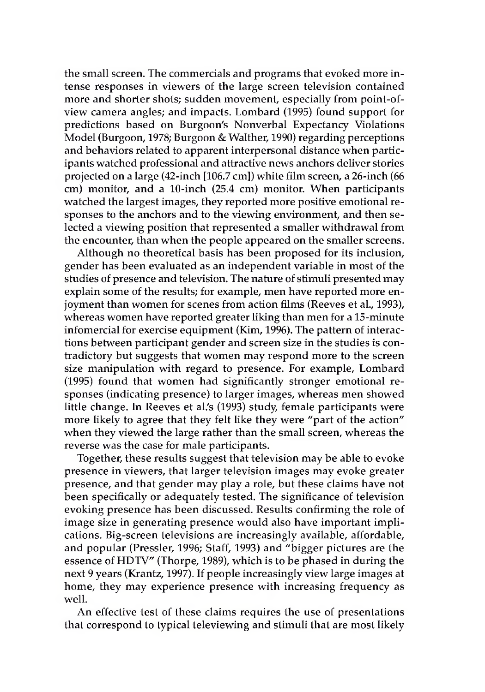the small screen. The commercials and programs that evoked more intense responses in viewers of the large screen television contained more and shorter shots; sudden movement, especially from point-ofview camera angles; and impacts. Lombard (1995) found support for predictions based on Burgoon's Nonverbal Expectancy Violations Model (Burgoon, 1978; Burgoon & Walther, 1990) regarding perceptions and behaviors related to apparent interpersonal distance when participants watched professional and attractive news anchors deliver stories projected on a large (42-inch [106.7 cm]) white film screen, a 26-inch (66 cm) monitor, and a 10-inch (25.4 cm) monitor. When participants watched the largest images, they reported more positive emotional responses to the anchors and to the viewing environment, and then selected a viewing position that represented a smaller withdrawal from the encounter, than when the people appeared on the smaller screens.

Although no theoretical basis has been proposed for its inclusion, gender has been evaluated as an independent variable in most of the studies of presence and television. The nature of stimuli presented may explain some of the results; for example, men have reported more enjoyment than women for scenes from action films (Reeves et al., 1993), whereas women have reported greater liking than men for a 15-minute infomercial for exercise equipment (Kim, 1996). The pattern of interactions between participant gender and screen size in the studies is contradictory but suggests that women may respond more to the screen size manipulation with regard to presence. For example, Lombard (1995) found that women had significantly stronger emotional responses (indicating presence) to larger images, whereas men showed little change. In Reeves et al.'s (1993) study, female participants were more likely to agree that they felt like they were "part of the action" when they viewed the large rather than the small screen, whereas the reverse was the case for male participants.

Together, these results suggest that television may be able to evoke presence in viewers, that larger television images may evoke greater presence, and that gender may play a role, but these claims have not been specifically or adequately tested. The significance of television evoking presence has been discussed. Results confirming the role of image size in generating presence would also have important implications. Big-screen televisions are increasingly available, affordable, and popular (Pressler, 1996; Staff, 1993) and "bigger pictures are the essence of HDTV" (Thorpe, 1989), which is to be phased in during the next 9 years (Krantz, 1997). If people increasingly view large images at home, they may experience presence with increasing frequency as well.

An effective test of these claims requires the use of presentations that correspond to typical televiewing and stimuli that are most likely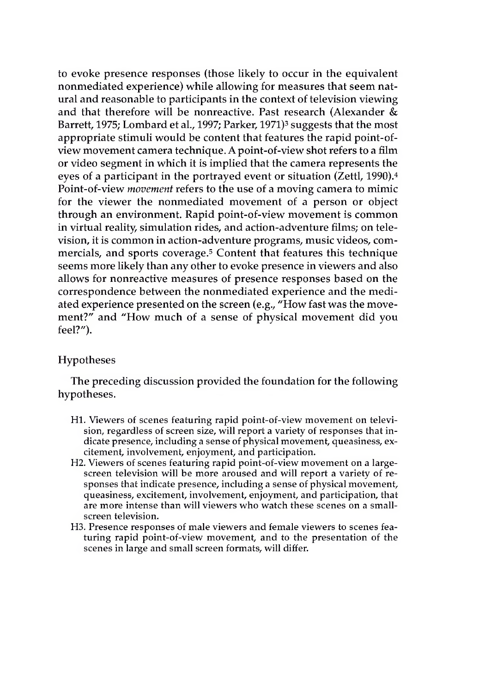to evoke presence responses (those likely to occur in the equivalent nonmediated experience) while allowing for measures that seem natural and reasonable to participants in the context of television viewing and that therefore will be nonreactive. Past research (Alexander & Barrett, 1975; Lombard et al., 1997; Parker, 1971)<sup>3</sup> suggests that the most appropriate stimuli would be content that features the rapid point-ofview movement camera technique. A point-of-view shot refers to a film or video segment in which it is implied that the camera represents the eyes of a participant in the portrayed event or situation (Zettl, 1990).4 Point-of-view *movement* refers to the use of a moving camera to mimic for the viewer the nonmediated movement of a person or object through an environment. Rapid point-of-view movement is common in virtual reality, simulation rides, and action-adventure films; on television, it is common in action-adventure programs, music videos, commercials, and sports coverage.5 Content that features this technique seems more likely than any other to evoke presence in viewers and also allows for nonreactive measures of presence responses based on the correspondence between the nonmediated experience and the mediated experience presented on the screen (e.g., "How fast was the movement?" and "How much of a sense of physical movement did you feel?").

## Hypotheses

The preceding discussion provided the foundation for the following hypotheses.

- H1. Viewers of scenes featuring rapid point-of-view movement on television, regardless of screen size, will report a variety of responses that indicate presence, including a sense of physical movement, queasiness, excitement, involvement, enjoyment, and participation.
- H2. Viewers of scenes featuring rapid point-of-view movement on a largescreen television will be more aroused and will report a variety of responses that indicate presence, including a sense of physical movement, queasiness, excitement, involvement, enjoyment, and participation, that are more intense than will viewers who watch these scenes on a smallscreen television.
- H3. Presence responses of male viewers and female viewers to scenes featuring rapid point-of-view movement, and to the presentation of the scenes in large and small screen formats, will differ.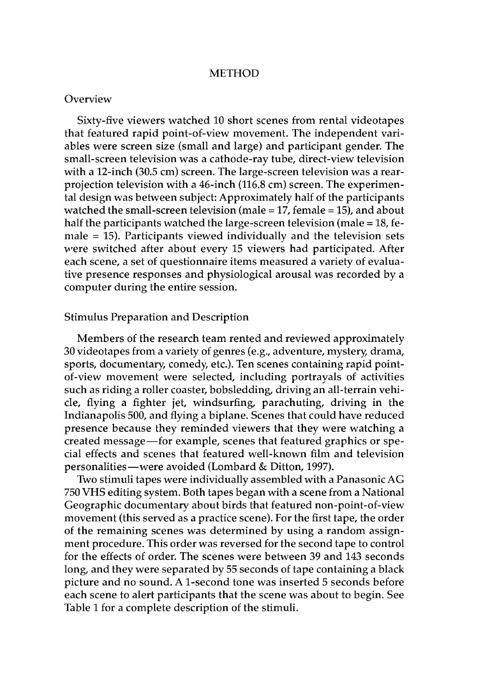## **METHOD**

#### **Overview**

Sixty-five viewers watched 10 short scenes from rental videotapes that featured rapid point-of-view movement. The independent variables were screen size (small and large) and participant gender. The small-screen television was a cathode-ray tube, direct-view television with a 12-inch (30.5 cm) screen. The large-screen television was a rearprojection television with a 46-inch (116.8 cm) screen. The experimental design was between subject: Approximately half of the participants watched the small-screen television (male = 17, female = 15), and about half the participants watched the large-screen television (male = 18, female = 15). Participants viewed individually and the television sets were switched after about every 15 viewers had participated. After each scene, a set of questionnaire items measured a variety of evaluative presence responses and physiological arousal was recorded by a computer during the entire session.

#### Stimulus Preparation and Description

Members of the research team rented and reviewed approximately 30 videotapes from a variety of genres (e.g., adventure, mystery, drama, sports, documentary, comedy, etc.). Ten scenes containing rapid pointof-view movement were selected, including portrayals of activities such as riding a roller coaster, bobsledding, driving an all-terrain vehicle, flying a fighter jet, windsurfing, parachuting, driving in the Indianapolis 500, and flying a biplane. Scenes that could have reduced presence because they reminded viewers that they were watching a created message—for example, scenes that featured graphics or special effects and scenes that featured well-known film and television personalities—were avoided (Lombard & Ditton, 1997).

Two stimuli tapes were individually assembled with a PanasonicAG 750 VHS editing system. Both tapes began with a scene from a National Geographic documentary about birds that featured non-point-of-view movement (this served as a practice scene). For the first tape, the order of the remaining scenes was determined by using a random assignment procedure. This order was reversed for the second tape to control for the effects of order. The scenes were between 39 and 143 seconds long, and they were separated by 55 seconds of tape containing a black picture and no sound. A 1-second tone was inserted 5 seconds before each scene to alert participants that the scene was about to begin. See Table 1 for a complete description of the stimuli.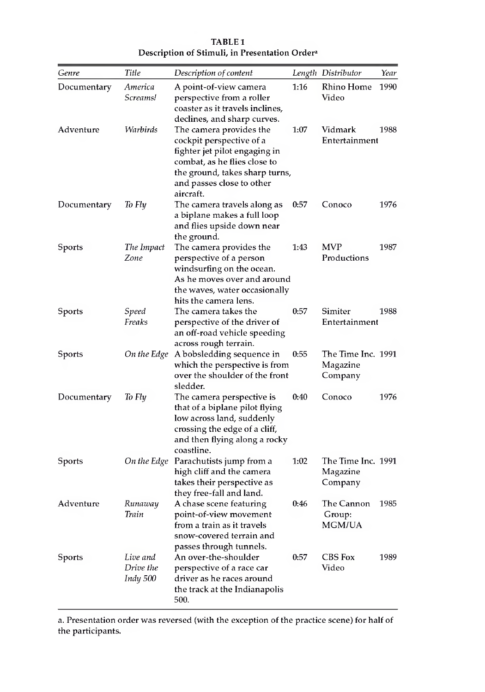| Genre         | Title                             | Description of content                                                                                                                                                              |      | Length Distributor                        | Year |
|---------------|-----------------------------------|-------------------------------------------------------------------------------------------------------------------------------------------------------------------------------------|------|-------------------------------------------|------|
| Documentary   | America<br>Screams!               | A point-of-view camera<br>perspective from a roller<br>coaster as it travels inclines,<br>declines, and sharp curves.                                                               | 1:16 | Rhino Home<br>Video                       | 1990 |
| Adventure     | Warbirds                          | The camera provides the<br>cockpit perspective of a<br>fighter jet pilot engaging in<br>combat, as he flies close to<br>the ground, takes sharp turns,<br>and passes close to other | 1:07 | Vidmark<br>Entertainment                  | 1988 |
| Documentary   | To Fly                            | aircraft.<br>The camera travels along as<br>a biplane makes a full loop<br>and flies upside down near<br>the ground.                                                                | 0:57 | Conoco                                    | 1976 |
| Sports        | The Impact<br>Zone                | The camera provides the<br>perspective of a person<br>windsurfing on the ocean.<br>As he moves over and around<br>the waves, water occasionally<br>hits the camera lens.            | 1:43 | <b>MVP</b><br>Productions                 | 1987 |
| <b>Sports</b> | Speed<br>Freaks                   | The camera takes the<br>perspective of the driver of<br>an off-road vehicle speeding<br>across rough terrain.                                                                       | 0:57 | Simiter<br>Entertainment                  | 1988 |
| Sports        | On the Edge                       | A bobsledding sequence in<br>which the perspective is from<br>over the shoulder of the front<br>sledder.                                                                            | 0:55 | The Time Inc. 1991<br>Magazine<br>Company |      |
| Documentary   | To Fly                            | The camera perspective is<br>that of a biplane pilot flying<br>low across land, suddenly<br>crossing the edge of a cliff,<br>and then flying along a rocky<br>coastline.            | 0:40 | Conoco                                    | 1976 |
| Sports        | On the Edge                       | Parachutists jump from a<br>high cliff and the camera<br>takes their perspective as<br>they free-fall and land.                                                                     | 1:02 | The Time Inc. 1991<br>Magazine<br>Company |      |
| Adventure     | Runaway<br>Train                  | A chase scene featuring<br>point-of-view movement<br>from a train as it travels<br>snow-covered terrain and<br>passes through tunnels.                                              | 0:46 | The Cannon<br>Group:<br><b>MGM/UA</b>     | 1985 |
| Sports        | Live and<br>Drive the<br>Indy 500 | An over-the-shoulder<br>perspective of a race car<br>driver as he races around<br>the track at the Indianapolis<br>500.                                                             | 0:57 | CBS Fox<br>Video                          | 1989 |

TABLE 1 Description of Stimuli, in Presentation Ordera

a. Presentation order was reversed (with the exception of the practice scene) for half of the participants.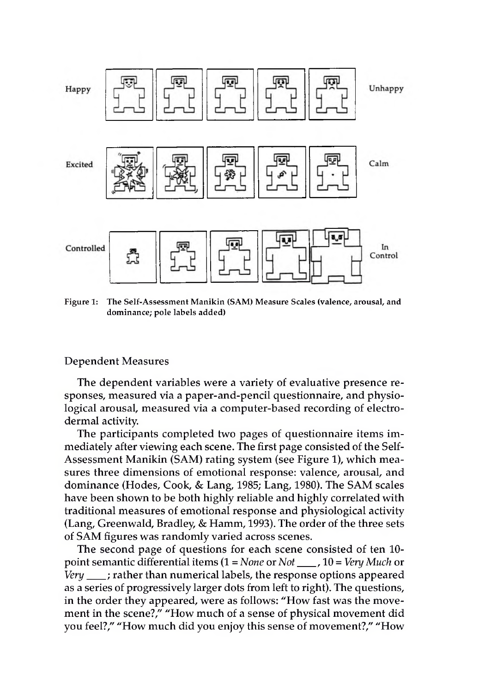

Figure 1: The Self-Assessment Manikin (SAM) Measure Scales (valence, arousal, and dominance; pole labels added)

## Dependent Measures

The dependent variables were a variety of evaluative presence responses, measured via a paper-and-pencil questionnaire, and physiological arousal, measured via a computer-based recording of electrodermal activity.

The participants completed two pages of questionnaire items immediately after viewing each scene. The first page consisted of the Self-Assessment Manikin (SAM) rating system (see Figure 1), which measures three dimensions of emotional response: valence, arousal, and dominance (Hodes, Cook, & Lang, 1985; Lang, 1980). The SAM scales have been shown to be both highly reliable and highly correlated with traditional measures of emotional response and physiological activity (Lang, Greenwald, Bradley, & Hamm, 1993). The order of the three sets of SAM figures was randomly varied across scenes.

The second page of questions for each scene consisted of ten 10 point semantic differential items (1 = *None* or *Not\_\_\_* , 10 = *Very Much* or *Very\_\_\_* ; rather than numerical labels, the response options appeared as a series of progressively larger dots from left to right). The questions, in the order they appeared, were as follows: "How fast was the movement in the scene?," "How much of a sense of physical movement did you feel?," "How much did you enjoy this sense of movement?," "How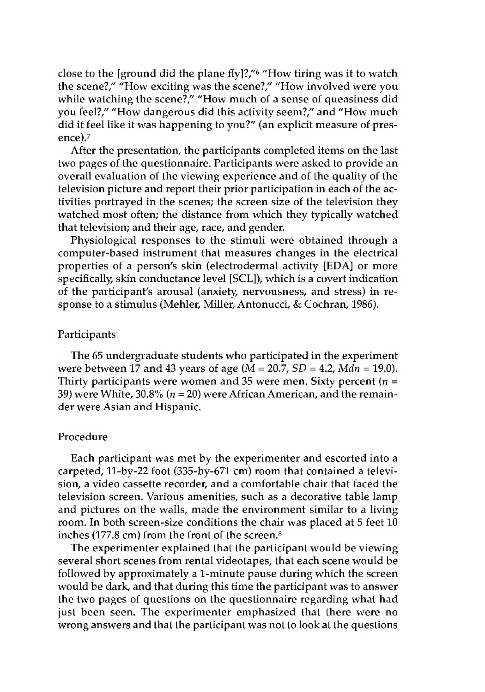close to the [ground did the plane fly]?/'6 "How tiring was it to watch the scene?," "How exciting was the scene?," "How involved were you while watching the scene?," "How much of a sense of queasiness did you feel?," "How dangerous did this activity seem?," and "How much did it feel like it was happening to you?" (an explicit measure of presence).7

After the presentation, the participants completed items on the last two pages of the questionnaire. Participants were asked to provide an overall evaluation of the viewing experience and of the quality of the television picture and report their prior participation in each of the activities portrayed in the scenes; the screen size of the television they watched most often; the distance from which they typically watched that television; and their age, race, and gender.

Physiological responses to the stimuli were obtained through a computer-based instrument that measures changes in the electrical properties of a person's skin (electrodermal activity [EDA] or more specifically, skin conductance level [SCL]), which is a covert indication of the participant's arousal (anxiety, nervousness, and stress) in response to a stimulus (Mehler, Miller, Antonucci, & Cochran, 1986).

#### Participants

The 65 undergraduate students who participated in the experiment were between 17 and 43 years of age (M = 20.7, *SD =* 4.2, *Mdn* = 19.0). Thirty participants were women and 35 were men. Sixty percent *(n =* 39) were White, 30.8% *(n =* 20) were African American, and the remainder were Asian and Hispanic.

#### Procedure

Each participant was met by the experimenter and escorted into a carpeted, 11-by-22 foot (335-by-671 cm) room that contained a television, a video cassette recorder, and a comfortable chair that faced the television screen. Various amenities, such as a decorative table lamp and pictures on the walls, made the environment similar to a living room. In both screen-size conditions the chair was placed at 5 feet 10 inches (177.8 cm) from the front of the screen.8

The experimenter explained that the participant would be viewing several short scenes from rental videotapes, that each scene would be followed by approximately a 1-minute pause during which the screen would be dark, and that during this time the participant was to answer the two pages of questions on the questionnaire regarding what had just been seen. The experimenter emphasized that there were no wrong answers and that the participant was not to look at the questions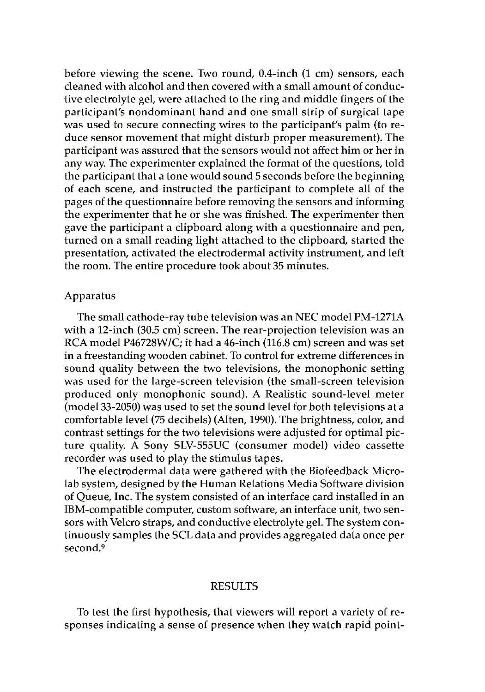before viewing the scene. Two round, 0.4-inch (1 cm) sensors, each cleaned with alcohol and then covered with a small amount of conductive electrolyte gel, were attached to the ring and middle fingers of the participant's nondominant hand and one small strip of surgical tape was used to secure connecting wires to the participant's palm (to reduce sensor movement that might disturb proper measurement). The participant was assured that the sensors would not affect him or her in any way. The experimenter explained the format of the questions, told the participant that a tone would sound 5 seconds before the beginning of each scene, and instructed the participant to complete all of the pages of the questionnaire before removing the sensors and informing the experimenter that he or she was finished. The experimenter then gave the participant a clipboard along with a questionnaire and pen, turned on a small reading light attached to the clipboard, started the presentation, activated the electrodermal activity instrument, and left the room. The entire procedure took about 35 minutes.

#### Apparatus

The small cathode-ray tube television was an NEC model PM-1271A with a 12-inch (30.5 cm) screen. The rear-projection television was an RCA model P46728W/C; it had a 46-inch (116.8 cm) screen and was set in a freestanding wooden cabinet. To control for extreme differences in sound quality between the two televisions, the monophonic setting was used for the large-screen television (the small-screen television produced only monophonic sound). A Realistic sound-level meter (model 33-2050) was used to set the sound level for both televisions at a comfortable level (75 decibels) (Alten, 1990). The brightness, color, and contrast settings for the two televisions were adjusted for optimal picture quality. A Sony SLV-555UC (consumer model) video cassette recorder was used to play the stimulus tapes.

The electrodermal data were gathered with the Biofeedback Microlab system, designed by the Human Relations Media Software division of Queue, Inc. The system consisted of an interface card installed in an IBM-compatible computer, custom software, an interface unit, two sensors with Velcro straps, and conductive electrolyte gel. The system continuously samples the SCL data and provides aggregated data once per second.9

## RESULTS

To test the first hypothesis, that viewers will report a variety of responses indicating a sense of presence when they watch rapid point-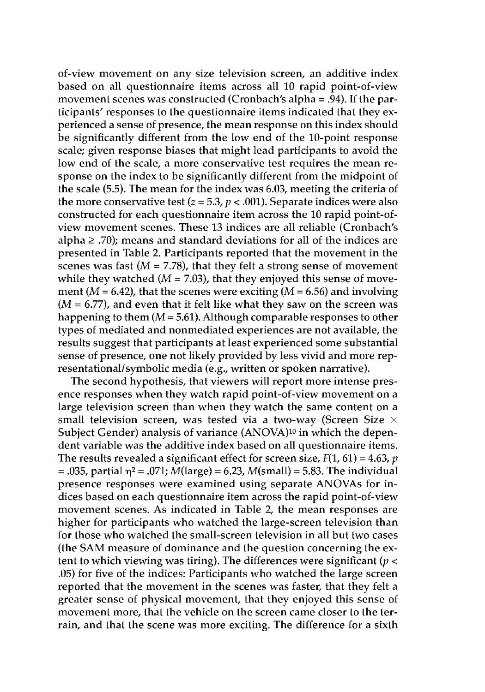of-view movement on any size television screen, an additive index based on all questionnaire items across all 10 rapid point-of-view movement scenes was constructed (Cronbach's alpha =  $.94$ ). If the participants' responses to the questionnaire items indicated that they experienced a sense of presence, the mean response on this index should be significantly different from the low end of the 10-point response scale; given response biases that might lead participants to avoid the low end of the scale, a more conservative test requires the mean response on the index to be significantly different from the midpoint of the scale (5.5). The mean for the index was 6.03, meeting the criteria of the more conservative test  $(z = 5.3, p < .001)$ . Separate indices were also constructed for each questionnaire item across the 10 rapid point-ofview movement scenes. These 13 indices are all reliable (Cronbach's alpha  $\geq$  .70); means and standard deviations for all of the indices are presented in Table 2. Participants reported that the movement in the scenes was fast ( $M = 7.78$ ), that they felt a strong sense of movement while they watched ( $M = 7.03$ ), that they enjoyed this sense of movement ( $M = 6.42$ ), that the scenes were exciting ( $M = 6.56$ ) and involving  $(M = 6.77)$ , and even that it felt like what they saw on the screen was happening to them  $(M = 5.61)$ . Although comparable responses to other types of mediated and nonmediated experiences are not available, the results suggest that participants at least experienced some substantial sense of presence, one not likely provided by less vivid and more representational/symbolic media (e.g., written or spoken narrative).

The second hypothesis, that viewers will report more intense presence responses when they watch rapid point-of-view movement on a large television screen than when they watch the same content on a small television screen, was tested via a two-way (Screen Size  $\times$ Subject Gender) analysis of variance (ANOVA)<sup>10</sup> in which the dependent variable was the additive index based on all questionnaire items. The results revealed a significant effect for screen size,  $F(1, 61) = 4.63$ , *p* = .035, partial  $\eta^2$  = .071; M(large) = 6.23, M(small) = 5.83. The individual presence responses were examined using separate ANOVAs for indices based on each questionnaire item across the rapid point-of-view movement scenes. As indicated in Table 2, the mean responses are higher for participants who watched the large-screen television than for those who watched the small-screen television in all but two cases (the SAM measure of dominance and the question concerning the extent to which viewing was tiring). The differences were significant *(p <* .05) for five of the indices: Participants who watched the large screen reported that the movement in the scenes was faster, that they felt a greater sense of physical movement, that they enjoyed this sense of movement more, that the vehicle on the screen came closer to the terrain, and that the scene was more exciting. The difference for a sixth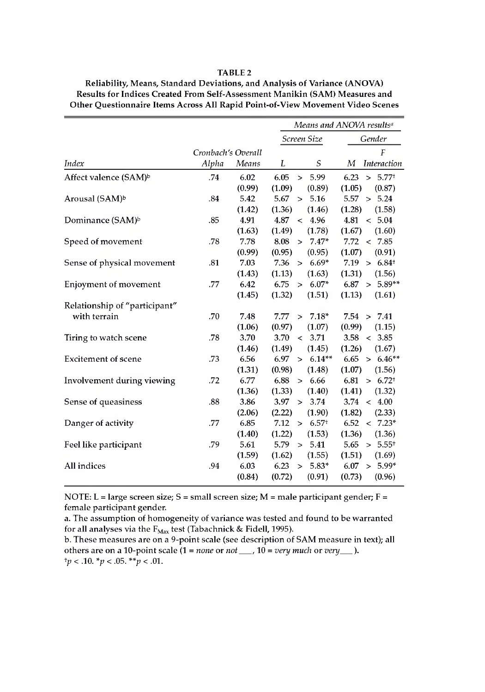#### TABLE 2

|                                   |                    |        | Means and ANOVA results <sup>a</sup>     |                            |  |
|-----------------------------------|--------------------|--------|------------------------------------------|----------------------------|--|
|                                   |                    |        | Screen Size                              | Gender                     |  |
|                                   | Cronbach's Overall |        |                                          | F                          |  |
| Index                             | Alpha              | Means  | S<br>L                                   | <i>Interaction</i><br>М    |  |
| Affect valence (SAM) <sup>b</sup> | .74                | 6.02   | 6.05<br>5.99<br>$\geq$                   | $> 5.77^+$<br>6.23         |  |
|                                   |                    | (0.99) | (1.09)<br>(0.89)                         | (1.05)<br>(0.87)           |  |
| Arousal (SAM) <sup>b</sup>        | .84                | 5.42   | 5.67<br>5.16<br>$\geq$                   | 5.57 ><br>5.24             |  |
|                                   |                    | (1.42) | (1.36)<br>(1.46)                         | (1.28)<br>(1.58)           |  |
| Dominance (SAM) <sup>b</sup>      | .85                | 4.91   | 4.87<br>4.96<br>$\overline{\phantom{a}}$ | 4.81<br>< 5.04             |  |
|                                   |                    | (1.63) | (1.49)<br>(1.78)                         | (1.67)<br>(1.60)           |  |
| Speed of movement                 | .78                | 7.78   | 8.08<br>$7.47*$<br>$\geq$                | 7.72<br>< 7.85             |  |
|                                   |                    | (0.99) | (0.95)<br>(0.95)                         | (1.07)<br>(0.91)           |  |
| Sense of physical movement        | .81                | 7.03   | 7.36<br>$6.69*$<br>$\geq$                | 7.19 ><br>$6.84^{+}$       |  |
|                                   |                    | (1.43) | (1.13)<br>(1.63)                         | (1.31)<br>(1.56)           |  |
| <b>Enjoyment of movement</b>      | .77                | 6.42   | 6.75<br>$6.07*$<br>$\geq$                | $5.89**$<br>6.87<br>$\geq$ |  |
|                                   |                    | (1.45) | (1.32)<br>(1.51)                         | (1.13)<br>(1.61)           |  |
| Relationship of "participant"     |                    |        |                                          |                            |  |
| with terrain                      | .70                | 7.48   | 7.77<br>$7.18*$<br>$\geq$                | 7.54 > 7.41                |  |
|                                   |                    | (1.06) | (0.97)<br>(1.07)                         | (0.99)<br>(1.15)           |  |
| Tiring to watch scene             | .78                | 3.70   | 3.70<br>3.71<br>$\overline{\phantom{a}}$ | 3.58<br>< 3.85             |  |
|                                   |                    | (1.46) | (1.49)<br>(1.45)                         | (1.26)<br>(1.67)           |  |
| <b>Excitement of scene</b>        | .73                | 6.56   | $6.14**$<br>6.97<br>$\geq$               | 6.65<br>$6.46**$<br>$\geq$ |  |
|                                   |                    | (1.31) | (0.98)<br>(1.48)                         | (1.07)<br>(1.56)           |  |
| Involvement during viewing        | .72                | 6.77   | 6.88<br>6.66<br>$\geq$                   | 6.81<br>$> 6.72^+$         |  |
|                                   |                    | (1.36) | (1.33)<br>(1.40)                         | (1.41)<br>(1.32)           |  |
| Sense of queasiness               | .88                | 3.86   | 3.97<br>3.74<br>$\geq$                   | $3.74 \div 4.00$           |  |
|                                   |                    | (2.06) | (2.22)<br>(1.90)                         | (1.82)<br>(2.33)           |  |
| Danger of activity                | .77                | 6.85   | 7.12<br>6.57 <sup>†</sup><br>$\geq$      | 6.52<br>$< 7.23*$          |  |
|                                   |                    | (1.40) | (1.22)<br>(1.53)                         | (1.36)<br>(1.36)           |  |
| Feel like participant             | .79                | 5.61   | 5.41<br>5.79<br>$\geq$                   | $5.65 > 5.55^+$            |  |
|                                   |                    | (1.59) | (1.62)<br>(1.55)                         | (1.51)<br>(1.69)           |  |
| All indices                       | .94                | 6.03   | 6.23<br>$5.83*$<br>$\geq$                | $5.99*$<br>6.07<br>$\geq$  |  |
|                                   |                    | (0.84) | (0.72)<br>(0.91)                         | (0.73)<br>(0.96)           |  |

Reliability, Means, Standard Deviations, and Analysis of Variance (ANOVA) Results for Indices Created From Self-Assessment Manikin (SAM) Measures and Other Questionnaire Items Across All Rapid Point-of-View Movement Video Scenes

NOTE: L = large screen size; S = small screen size; M = male participant gender; F = female participant gender.

a. The assumption of homogeneity of variance was tested and found to be warranted for all analyses via the  $F_{\text{Max}}$  test (Tabachnick & Fidell, 1995).

b. These measures are on a 9-point scale (see description of SAM measure in text); all others are on a 10-point scale (1 = *none* or *not\_\_\_*, 10 = *very much* or *very\_\_\_).*  $^{\dagger}p < .10.$   $^{\ast}p < .05.$   $^{\ast\ast}p < .01.$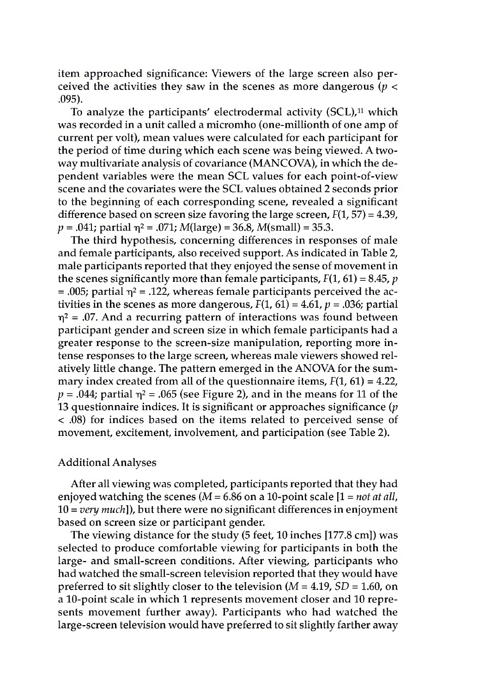item approached significance: Viewers of the large screen also perceived the activities they saw in the scenes as more dangerous ( $p <$ .095).

To analyze the participants' electrodermal activity  $(SCL)$ ,<sup>11</sup> which was recorded in a unit called a micromho (one-millionth of one amp of current per volt), mean values were calculated for each participant for the period of time during which each scene was being viewed. A twoway multivariate analysis of covariance (MANCOVA), in which the dependent variables were the mean SCL values for each point-of-view scene and the covariates were the SCL values obtained 2 seconds prior to the beginning of each corresponding scene, revealed a significant difference based on screen size favoring the large screen,  $F(1, 57) = 4.39$ ,  $p = .041$ ; partial  $\eta^2 = .071$ ; *M*(large) = 36.8, *M*(small) = 35.3.

The third hypothesis, concerning differences in responses of male and female participants, also received support. As indicated in Table 2, male participants reported that they enjoyed the sense of movement in the scenes significantly more than female participants,  $F(1, 61) = 8.45$ , *p* = .005; partial  $\eta^2$  = .122, whereas female participants perceived the activities in the scenes as more dangerous,  $F(1, 61) = 4.61$ ,  $p = .036$ ; partial  $\eta^2$  = .07. And a recurring pattern of interactions was found between participant gender and screen size in which female participants had a greater response to the screen-size manipulation, reporting more intense responses to the large screen, whereas male viewers showed relatively little change. The pattern emerged in the ANOVA for the summary index created from all of the questionnaire items,  $F(1, 61) = 4.22$ ,  $p = .044$ ; partial  $\eta^2 = .065$  (see Figure 2), and in the means for 11 of the 13 questionnaire indices. It is significant or approaches significance  $(p)$ < .08) for indices based on the items related to perceived sense of movement, excitement, involvement, and participation (see Table 2).

### Additional Analyses

After all viewing was completed, participants reported that they had enjoyed watching the scenes (M = 6.86 on a 10-point scale [1 = *not at all,* 10 = *very much]),* but there were no significant differences in enjoyment based on screen size or participant gender.

The viewing distance for the study (5 feet, 10 inches [177.8 cm]) was selected to produce comfortable viewing for participants in both the large- and small-screen conditions. After viewing, participants who had watched the small-screen television reported that they would have preferred to sit slightly closer to the television (M = 4.19, *SD =* 1.60, on a 10-point scale in which 1 represents movement closer and 10 represents movement further away). Participants who had watched the large-screen television would have preferred to sit slightly farther away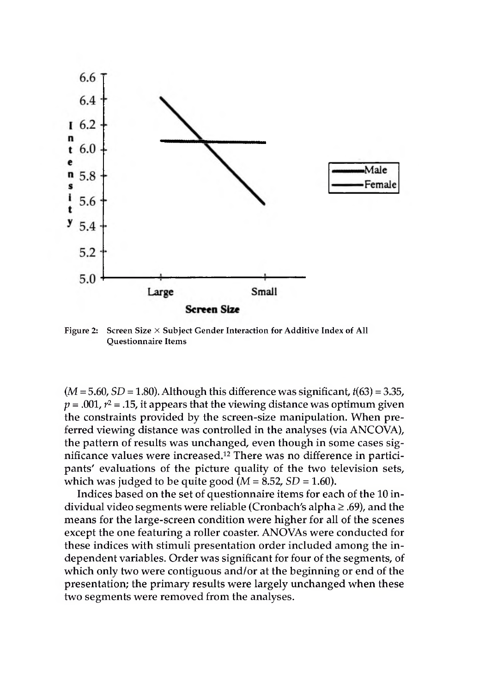

Figure 2: Screen Size  $\times$  Subject Gender Interaction for Additive Index of All Questionnaire Items

 $(M = 5.60, SD = 1.80)$ . Although this difference was significant,  $t(63) = 3.35$ .  $p = .001$ ,  $r<sup>2</sup> = .15$ , it appears that the viewing distance was optimum given the constraints provided by the screen-size manipulation. When preferred viewing distance was controlled in the analyses (via ANCOVA), the pattern of results was unchanged, even though in some cases significance values were increased.12 There was no difference in participants' evaluations of the picture quality of the two television sets, which was judged to be quite good  $(M = 8.52, SD = 1.60)$ .

Indices based on the set of questionnaire items for each of the 10 individual video segments were reliable (Cronbach's alpha  $\geq$  .69), and the means for the large-screen condition were higher for all of the scenes except the one featuring a roller coaster. ANOVAs were conducted for these indices with stimuli presentation order included among the independent variables. Order was significant for four of the segments, of which only two were contiguous and/or at the beginning or end of the presentation; the primary results were largely unchanged when these two segments were removed from the analyses.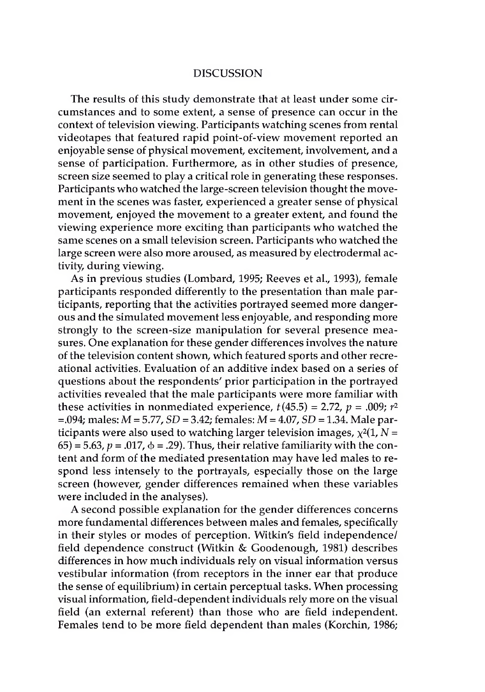# DISCUSSION

The results of this study demonstrate that at least under some circumstances and to some extent, a sense of presence can occur in the context of television viewing. Participants watching scenes from rental videotapes that featured rapid point-of-view movement reported an enjoyable sense of physical movement, excitement, involvement, and a sense of participation. Furthermore, as in other studies of presence, screen size seemed to play a critical role in generating these responses. Participants who watched the large-screen television thought the movement in the scenes was faster, experienced a greater sense of physical movement, enjoyed the movement to a greater extent, and found the viewing experience more exciting than participants who watched the same scenes on a small television screen. Participants who watched the large screen were also more aroused, as measured by electrodermal activity, during viewing.

As in previous studies (Lombard, 1995; Reeves et al., 1993), female participants responded differently to the presentation than male participants, reporting that the activities portrayed seemed more dangerous and the simulated movement less enjoyable, and responding more strongly to the screen-size manipulation for several presence measures. One explanation for these gender differences involves the nature of the television content shown, which featured sports and other recreational activities. Evaluation of an additive index based on a series of questions about the respondents' prior participation in the portrayed activities revealed that the male participants were more familiar with these activities in nonmediated experience,  $t(45.5) = 2.72$ ,  $p = .009$ ;  $r<sup>2</sup>$ =.094; males: *M =* 5.77, *SD =* 3.42; females: M = 4.07, *SD =* 1.34. Male participants were also used to watching larger television images,  $\chi^2(1, N =$  $(65) = 5.63$ ,  $p = .017$ ,  $\phi = .29$ ). Thus, their relative familiarity with the content and form of the mediated presentation may have led males to respond less intensely to the portrayals, especially those on the large screen (however, gender differences remained when these variables were included in the analyses).

A second possible explanation for the gender differences concerns more fundamental differences between males and females, specifically in their styles or modes of perception. Witkin's field independence/ field dependence construct (Witkin & Goodenough, 1981) describes differences in how much individuals rely on visual information versus vestibular information (from receptors in the inner ear that produce the sense of equilibrium) in certain perceptual tasks. When processing visual information, field-dependent individuals rely more on the visual field (an external referent) than those who are field independent. Females tend to be more field dependent than males (Korchin, 1986;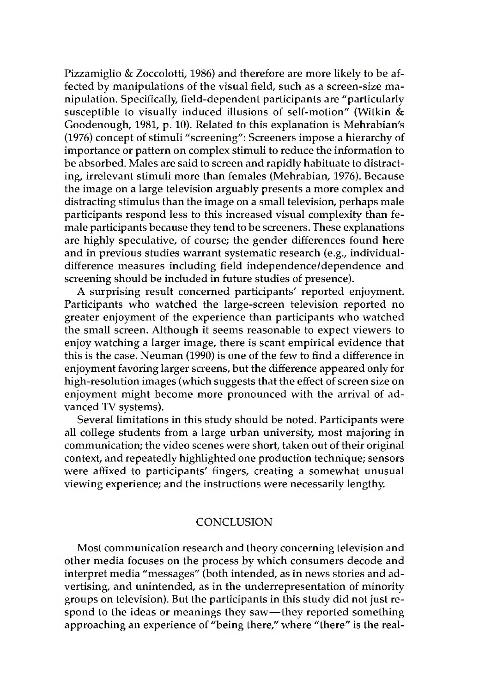Pizzamiglio & Zoccolotti, 1986) and therefore are more likely to be affected by manipulations of the visual field, such as a screen-size manipulation. Specifically, field-dependent participants are "particularly susceptible to visually induced illusions of self-motion" (Witkin & Goodenough, 1981, p. 10). Related to this explanation is Mehrabian's (1976) concept of stimuli "screening": Screeners impose a hierarchy of importance or pattern on complex stimuli to reduce the information to be absorbed. Males are said to screen and rapidly habituate to distracting, irrelevant stimuli more than females (Mehrabian, 1976). Because the image on a large television arguably presents a more complex and distracting stimulus than the image on a small television, perhaps male participants respond less to this increased visual complexity than female participants because they tend to be screeners. These explanations are highly speculative, of course; the gender differences found here and in previous studies warrant systematic research (e.g., individualdifference measures including field independence/dependence and screening should be included in future studies of presence).

A surprising result concerned participants' reported enjoyment. Participants who watched the large-screen television reported no greater enjoyment of the experience than participants who watched the small screen. Although it seems reasonable to expect viewers to enjoy watching a larger image, there is scant empirical evidence that this is the case. Neuman (1990) is one of the few to find a difference in enjoyment favoring larger screens, but the difference appeared only for high-resolution images (which suggests that the effect of screen size on enjoyment might become more pronounced with the arrival of advanced TV systems).

Several limitations in this study should be noted. Participants were all college students from a large urban university, most majoring in communication; the video scenes were short, taken out of their original context, and repeatedly highlighted one production technique; sensors were affixed to participants' fingers, creating a somewhat unusual viewing experience; and the instructions were necessarily lengthy.

# **CONCLUSION**

Most communication research and theory concerning television and other media focuses on the process by which consumers decode and interpret media "messages" (both intended, as in news stories and advertising, and unintended, as in the underrepresentation of minority groups on television). But the participants in this study did not just respond to the ideas or meanings they saw—they reported something approaching an experience of "being there," where "there" is the real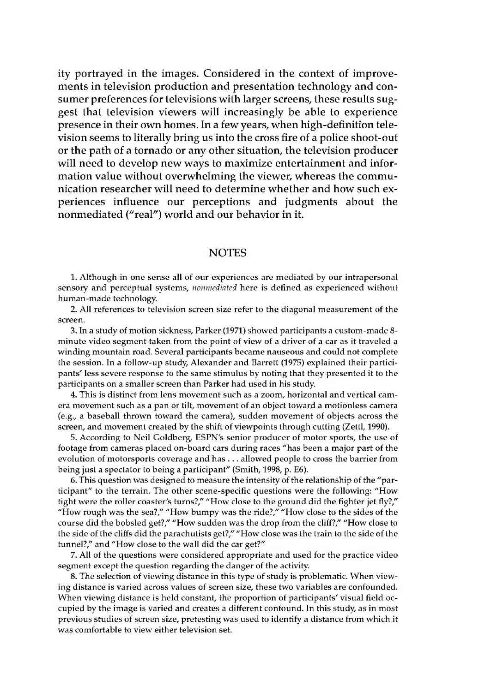ity portrayed in the images. Considered in the context of improvements in television production and presentation technology and consumer preferences for televisions with larger screens, these results suggest that television viewers will increasingly be able to experience presence in their own homes. In a few years, when high-definition television seems to literally bring us into the cross fire of a police shoot-out or the path of a tornado or any other situation, the television producer will need to develop new ways to maximize entertainment and information value without overwhelming the viewer, whereas the communication researcher will need to determine whether and how such experiences influence our perceptions and judgments about the nonmediated ("real") world and our behavior in it.

#### **NOTES**

1. Although in one sense all of our experiences are mediated by our intrapersonal sensory and perceptual systems, *nonmediated* here is defined as experienced without human-made technology.

2. All references to television screen size refer to the diagonal measurement of the screen.

3. In a study of motion sickness, Parker (1971) showed participants a custom-made 8 minute video segment taken from the point of view of a driver of a car as it traveled a winding mountain road. Several participants became nauseous and could not complete the session. In a follow-up study, Alexander and Barrett (1975) explained their participants' less severe response to the same stimulus by noting that they presented it to the participants on a smaller screen than Parker had used in his study.

4. This is distinct from lens movement such as a zoom, horizontal and vertical camera movement such as a pan or tilt, movement of an object toward a motionless camera (e.g., a baseball thrown toward the camera), sudden movement of objects across the screen, and movement created by the shift of viewpoints through cutting (Zettl, 1990).

5. According to Neil Goldberg, ESPN's senior producer of motor sports, the use of footage from cameras placed on-board cars during races "has been a major part of the evolution of motorsports coverage and has ... allowed people to cross the barrier from being just a spectator to being a participant" (Smith, 1998, p. E6).

6. This question was designed to measure the intensity of the relationship of the "participant" to the terrain. The other scene-specific questions were the following: "How tight were the roller coaster's turns?," "How close to the ground did the fighter jet fly?," "How rough was the sea?," "How bumpy was the ride?," "How close to the sides of the course did the bobsled get?," "How sudden was the drop from the cliff?," "How close to the side of the cliffs did the parachutists get?," "How close was the train to the side of the tunnel?," and "How close to the wall did the car get?"

7. All of the questions were considered appropriate and used for the practice video segment except the question regarding the danger of the activity.

8. The selection of viewing distance in this type of study is problematic. When viewing distance is varied across values of screen size, these two variables are confounded. When viewing distance is held constant, the proportion of participants' visual field occupied by the image is varied and creates a different confound. In this study, as in most previous studies of screen size, pretesting was used to identify a distance from which it was comfortable to view either television set.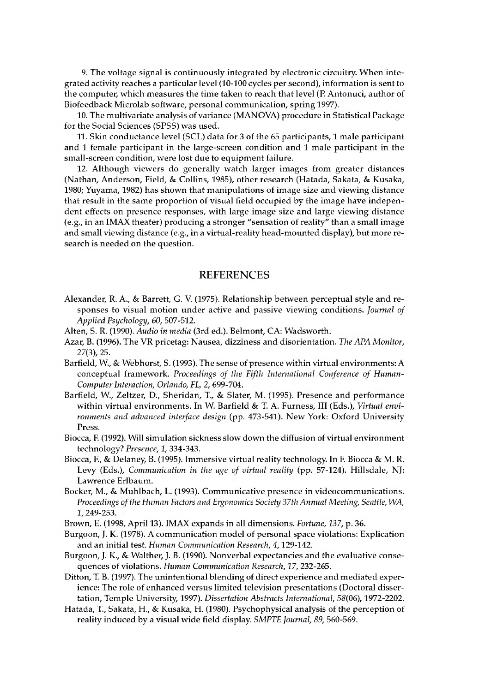9. The voltage signal is continuously integrated by electronic circuitry. When integrated activity reaches a particular level (10-100 cycles per second), information is sent to the computer, which measures the time taken to reach that level (P. Antonuci, author of Biofeedback Microlab software, personal communication, spring 1997).

10. The multivariate analysis of variance (MANOVA) procedure in Statistical Package for the Social Sciences (SPSS) was used.

11. Skin conductance level (SCL) data for 3 of the 65 participants, 1 male participant and 1 female participant in the large-screen condition and 1 male participant in the small-screen condition, were lost due to equipment failure.

12. Although viewers do generally watch larger images from greater distances (Nathan, Anderson, Field, & Collins, 1985), other research (Hatada, Sakata, & Kusaka, 1980; Yuyama, 1982) has shown that manipulations of image size and viewing distance that result in the same proportion of visual field occupied by the image have independent effects on presence responses, with large image size and large viewing distance (e.g., in an IMAX theater) producing a stronger "sensation ofreality" than a small image and small viewing distance (e.g., in a virtual-reality head-mounted display), but more research is needed on the question.

#### REFERENCES

- Alexander, R. A., & Barrett, G. V. (1975). Relationship between perceptual style and responses to visual motion under active and passive viewing conditions. *Journal of Applied Psychology, 60,* 507-512.
- Alten, S. R. (1990). *Audio in media* (3rd ed.). Belmont, CA: Wadsworth.
- Azar, B. (1996). The VR pricetag: Nausea, dizziness and disorientation. *The APA Monitor,* 27(3), 25.
- Barfield, W., & Webhorst, S. (1993). The sense of presence within virtual environments: A conceptual framework. *Proceedings of the Fifth International Conference of Human-ComputerInteraction, Orlando, FL,* 2, 699-704.
- Barfield, W., Zeltzer, D., Sheridan, T., & Slater, M. (1995). Presence and performance within virtual environments. In W. Barfield & T. A. Furness, III (Eds.), *Virtual environments and advanced interface design* (pp. 473-541). New York: Oxford University Press.
- Biocca, F. (1992). Will simulation sickness slow down the diffusion of virtual environment technology? *Presence, 1,* 334-343.
- Biocca, E, & Delaney, B. (1995). Immersive virtual reality technology. In F. Biocca & M. R. Levy (Eds.), *Communication in the age of virtual reality* (pp. 57-124). Hillsdale, NJ: Lawrence Erlbaum.
- Bocker, M., & Muhlbach, L. (1993). Communicative presence in videocommunications. *Proceedings ofthe Human Factors and Ergonomics Society 37th Annual Meeting, Seattle, WA,* 1,249-253.
- Brown, E. (1998, April 13). IMAX expands in all dimensions. *Fortune, 137,* p. 36.
- Burgoon, J. K. (1978). A communication model of personal space violations: Explication and an initial test. *Human Communication Research, 4,*129-142.
- Burgoon, J. K., & Walther, J. B. (1990). Nonverbal expectancies and the evaluative consequences of violations. *Human Communication Research, 17,*232-265.
- Ditton, T. B. (1997). The unintentional blending of direct experience and mediated experience: The role of enhanced versus limited television presentations (Doctoral dissertation, Temple University, 1997). *Dissertation Abstracts International,* 58(06), 1972-2202.
- Hatada, T., Sakata, H., & Kusaka, H. (1980). Psychophysical analysis of the perception of reality induced by a visual wide field display. *SMPTE Journal, 89,* 560-569.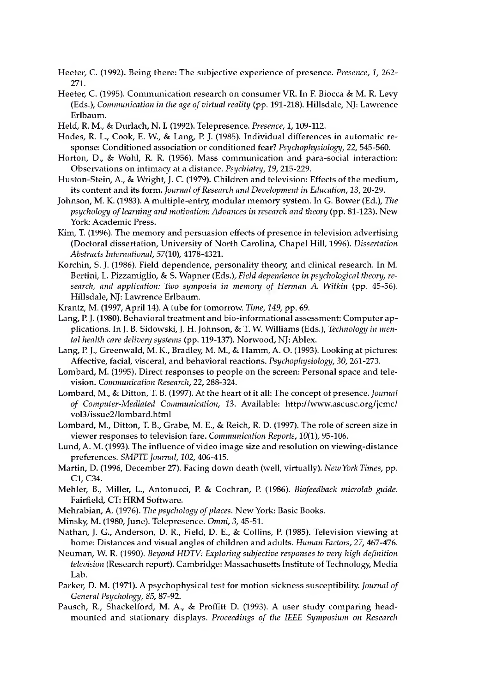Heeter, C. (1992). Being there: The subjective experience of presence. *Presence, 1,* 262- 271.

- Heeter, C. (1995). Communication research on consumer VR. In F. Biocca & M. R. Levy (Eds.), *Communication in the age ofvirtual reality* (pp. 191-218). Hillsdale, NJ: Lawrence Erlbaum.
- Held, R. M., & Durlach, N. I. (1992). Telepresence. *Presence, 1,*109-112.
- Hodes, R. L., Cook, E. W., & Lang, P. J. (1985). Individual differences in automatic response: Conditioned association or conditioned fear? *Psychophysiology,* 22, 545-560.
- Horton, D., & Wohl, R. R. (1956). Mass communication and para-social interaction: Observations on intimacy at a distance. *Psychiatry, 19,* 215-229.
- Huston-Stein, A., & Wright, J. C. (1979). Children and television: Effects of the medium, its content and its form. *Journal ofResearch and Development in Education, 13,* 20-29.
- Johnson, M. K. (1983). A multiple-entry, modular memory system. In G. Bower (Ed.), *The psychology oflearning and motivation: Advances in research and theory* (pp. 81-123). New York: Academic Press.
- Kim, T. (1996). The memory and persuasion effects of presence in television advertising (Doctoral dissertation, University of North Carolina, Chapel Hill, 1996). *Dissertation Abstracts International,* 57(10), 4178-4321.
- Korchin, S. J. (1986). Field dependence, personality theory, and clinical research. In M. Bertini, L. Pizzamiglio, & S. Wapner (Eds.), *Field dependence in psychological theory, research, and application: Two symposia in memory of Herman A. Witkin* (pp. 45-56). Hillsdale, NJ: Lawrence Erlbaum.
- Krantz, M. (1997, April 14). A tube for tomorrow. *Time, 149,* pp. 69.
- Lang, P. J. (1980). Behavioral treatment and bio-informational assessment: Computer applications. In J. B. Sidowski, J. H. Johnson, & T. W. Williams (Eds.), *Technology in mental health care delivery systems* (pp. 119-137). Norwood, NJ: Ablex.
- Lang, P. J., Greenwald, M. K., Bradley, M. M., & Hamm, A. O. (1993). Looking at pictures: Affective, facial, visceral, and behavioral reactions. *Psychophysiology, 30,* 261-273.
- Lombard, M. (1995). Direct responses to people on the screen: Personal space and television. *Communication Research, 22,* 288-324.
- Lombard, M., & Ditton, T. B. (1997). At the heart of it all: The concept of presence. *Journal of Computer-Mediated Communication, 13.* Available: <http://www.ascusc.org/jcmc/> vol3/issue2/lombard.html
- Lombard, M., Ditton, T. B., Grabe, M. E., & Reich, R. D. (1997). The role of screen size in viewer responses to television fare. *Communication Reports,* 10(1), 95-106.
- Lund, A. M. (1993). The influence of video image size and resolution on viewing-distance preferences. *SMPTE Journal, 102,* 406-415.
- Martin, D. (1996, December 27). Facing down death (well, virtually). *NewYork Times,* pp. C1, C34.
- Mehler, B., Miller, L., Antonucci, P. & Cochran, P. (1986). *Biofeedback microlab guide.* Fairfield, CT: HRM Software.
- Mehrabian, A. (1976). *The psychology ofplaces.* New York: Basic Books.
- Minsky, M. (1980, June). Telepresence. *Omni, 3,* 45-51.
- Nathan, J. G., Anderson, D. R., Field, D. E., & Collins, P. (1985). Television viewing at home: Distances and visual angles of children and adults. *Human Factors, 27,* 467-476.
- Neuman, W. R. (1990). *Beyond HDTV: Exploring subjective responses to very high definition television* (Research report). Cambridge: Massachusetts Institute of Technology, Media Lab.
- Parker, D. M. (1971). A psychophysical test for motion sickness susceptibility. *Journal of General Psychology, 85,* 87-92.
- Pausch, R., Shackelford, M. A., & Proffitt D. (1993). A user study comparing headmounted and stationary displays. *Proceedings of the IEEE Symposium on Research*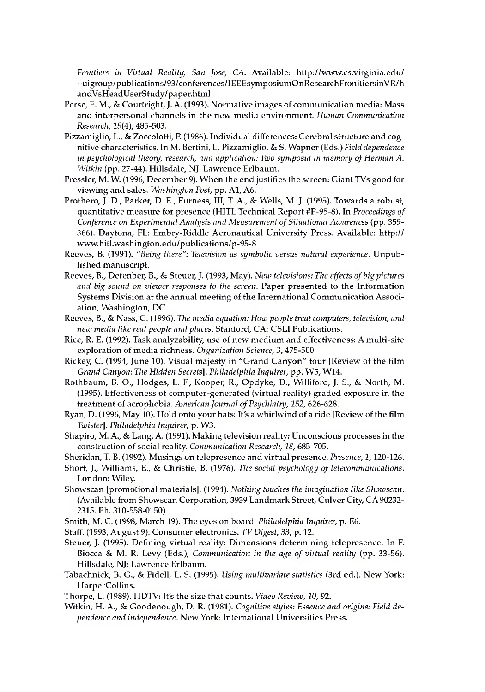*Frontiers in Virtual Reality, San Jose, CA.* Available: <http://www.cs.virginia.edu/> ~uigroup/publications/93/conferences/IEEEsymposiumOnResearchFronitiersinVR/h andVsHeadUserStudy/paper.html

- Perse, E. M., & Courtright, J. A. (1993). Normative images of communication media: Mass and interpersonal channels in the new media environment. *Human Communication Research, 19(4),* 485-503.
- Pizzamiglio, L., & Zoccolotti, P. (1986). Individual differences: Cerebral structure and cognitive characteristics. In M. Bertini, L. Pizzamiglio, & S. Wapner (Eds.) *Field dependence in psychological theory, research, and application: Two symposia in memory of Herman A. Witkin* (pp. 27-44). Hillsdale, NJ: Lawrence Erlbaum.
- Pressler, M. W. (1996, December 9). When the end justifies the screen: Giant TVs good for viewing and sales. *Washington Post,* pp. A1, A6.
- Prothero, J. D., Parker, D. E., Furness, III, T. A., & Wells, M. J. (1995). Towards a robust, quantitative measure for presence (HITL Technical Report #P-95-8). In *Proceedings of Conference on Experimental Analysis and Measurement ofSituational Awareness* (pp. 359- 366). Daytona, FL: Embry-Riddle Aeronautical University Press. Available: http:// [www.hitl.washington.edu/publications/p-95-8](http://www.hitl.washington.edu/publications/p-95-8)
- Reeves, B. (1991). *"Being there": Television as symbolic versus natural experience.* Unpublished manuscript.
- Reeves, B., Detenber, B., & Steuer, J. (1993, May). *New televisions: The effects of big pictures and big sound on viewer responses to the screen.* Paper presented to the Information Systems Division at the annual meeting of the International Communication Association, Washington, DC.
- Reeves, B., & Nass, C. (1996). *Tire media equation: How peopletreat computers, television, and new media like real people and places.* Stanford, CA: CSLI Publications.
- Rice, R. E. (1992). Task analyzability, use of new medium and effectiveness: A multi-site exploration of media richness. *Organization Science, 3,* 475-500.
- Rickey, C. (1994, June 10). Visual majesty in "Grand Canyon" tour [Review of the film *Grand Canyon: The Hidden Secrets]. Philadelphia Inquirer,* pp. W5, W14.
- Rothbaum, B. O., Hodges, L. F., Kooper, R., Opdyke, D., Williford, J. S., & North, M. (1995). Effectiveness of computer-generated (virtual reality) graded exposure in the treatment of acrophobia. *American Journal ofPsychiatry, 152,* 626-628.
- Ryan, D. (1996, May 10). Hold onto your hats: It's a whirlwind of a ride [Review of the film *Twister]. Philadelphia Inquirer,* p. W3.
- Shapiro, M. A., & Lang, A. (1991). Making television reality: Unconscious processes in the construction of social reality. *Communication Research, 18,* 685-705.
- Sheridan, T. B. (1992). Musings on telepresence and virtual presence. *Presence, 1,*120-126.
- Short, J., Williams, E., & Christie, B. (1976). *The social psychology of telecommunications.* London: Wiley.
- Showscan [promotional materials]. (1994). *Nothing touches the imagination like Showscan.* (Available from Showscan Corporation, 3939 Landmark Street, Culver City, CA90232- 2315. Ph. 310-558-0150)
- Smith, M. C. (1998, March 19). The eyes on board. *Philadelphia Inquirer,* p. E6.
- Staff. (1993, August 9). Consumer electronics. *TVDigest, 33,* p. 12.
- Steuer, J. (1995). Defining virtual reality: Dimensions determining telepresence. In F. Biocca & M. R. Levy (Eds.), *Communication in the age of virtual reality* (pp. 33-56). Hillsdale, NJ: Lawrence Erlbaum.
- Tabachnick, B. G., & Fidell, L. S. (1995). *Using multivariate statistics* (3rd ed.). New York: HarperCollins.
- Thorpe, L. (1989). HDTV: It's the size that counts. *Video Review, 10,* 92.
- Witkin, H. A., & Goodenough, D. R. (1981). *Cognitive styles: Essence and origins: Field dependence and independence.* New York: International Universities Press.